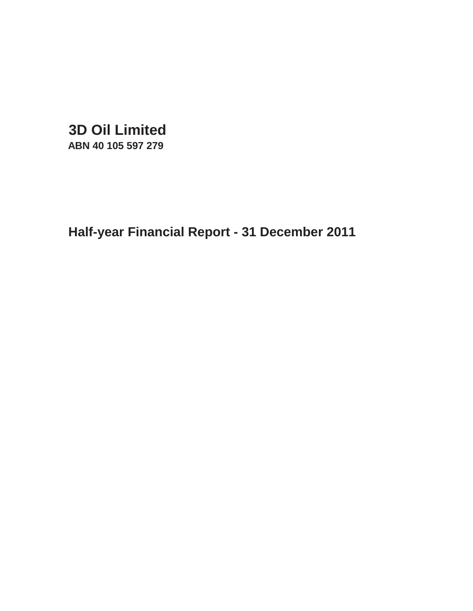**3D Oil Limited**

**ABN 40 105 597 279**

**Half-year Financial Report - 31 December 2011**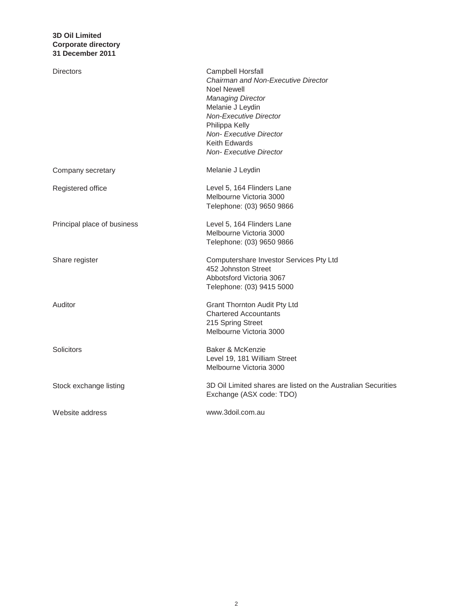| Directors                   | Campbell Horsfall<br>Chairman and Non-Executive Director<br><b>Noel Newell</b><br><b>Managing Director</b><br>Melanie J Leydin<br>Non-Executive Director<br>Philippa Kelly<br>Non-Executive Director<br>Keith Edwards<br><b>Non-Executive Director</b> |
|-----------------------------|--------------------------------------------------------------------------------------------------------------------------------------------------------------------------------------------------------------------------------------------------------|
| Company secretary           | Melanie J Leydin                                                                                                                                                                                                                                       |
| Registered office           | Level 5, 164 Flinders Lane<br>Melbourne Victoria 3000<br>Telephone: (03) 9650 9866                                                                                                                                                                     |
| Principal place of business | Level 5, 164 Flinders Lane<br>Melbourne Victoria 3000<br>Telephone: (03) 9650 9866                                                                                                                                                                     |
| Share register              | Computershare Investor Services Pty Ltd<br>452 Johnston Street<br>Abbotsford Victoria 3067<br>Telephone: (03) 9415 5000                                                                                                                                |
| Auditor                     | <b>Grant Thornton Audit Pty Ltd</b><br><b>Chartered Accountants</b><br>215 Spring Street<br>Melbourne Victoria 3000                                                                                                                                    |
| Solicitors                  | Baker & McKenzie<br>Level 19, 181 William Street<br>Melbourne Victoria 3000                                                                                                                                                                            |
| Stock exchange listing      | 3D Oil Limited shares are listed on the Australian Securities<br>Exchange (ASX code: TDO)                                                                                                                                                              |
| Website address             | www.3doil.com.au                                                                                                                                                                                                                                       |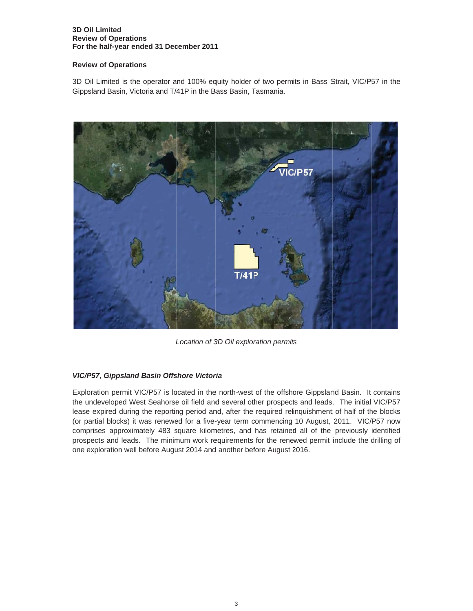### **3D Oil L Limited Review of Operations** For the half-year ended 31 December 2011

### **Review of Operations**

3D Oil Limited is the operator and 100% equity holder of two permits in Bass Strait, VIC/P57 in the Gippsland Basin, Victoria and T/41P in the Bass Basin, Tasmania.



Location of 3D Oil exploration permits

# *VIC/P57, Gippsland Basin Offshore Victoria*

Exploration permit VIC/P57 is located in the north-west of the offshore Gippsland Basin. It contains the undeveloped West Seahorse oil field and several other prospects and leads. The initial VIC/P57 lease expired during the reporting period and, after the required relinquishment of half of the blocks (or partial blocks) it was renewed for a five-year term commencing 10 August, 2011. VIC/P57 now comprises approximately 483 square kilometres, and has retained all of the previously identified prospects and leads. The minimum work requirements for the renewed permit include the drilling of one exp loration well before Augu ust 2014 and d another bef fore August 2 2016.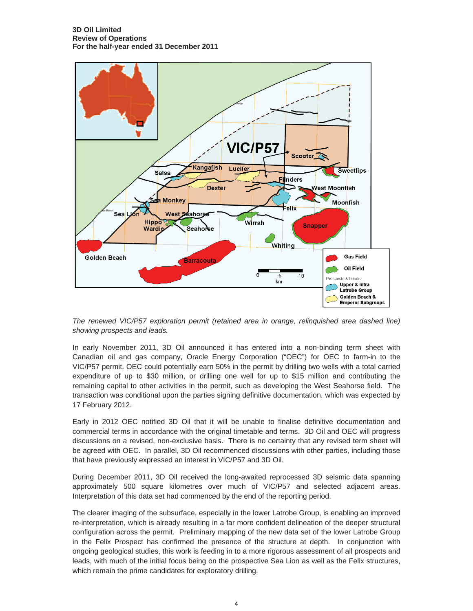

*The renewed VIC/P57 exploration permit (retained area in orange, relinquished area dashed line) showing prospects and leads.*

In early November 2011, 3D Oil announced it has entered into a non-binding term sheet with Canadian oil and gas company, Oracle Energy Corporation ("OEC") for OEC to farm-in to the VIC/P57 permit. OEC could potentially earn 50% in the permit by drilling two wells with a total carried expenditure of up to \$30 million, or drilling one well for up to \$15 million and contributing the remaining capital to other activities in the permit, such as developing the West Seahorse field. The transaction was conditional upon the parties signing definitive documentation, which was expected by 17 February 2012.

Early in 2012 OEC notified 3D Oil that it will be unable to finalise definitive documentation and commercial terms in accordance with the original timetable and terms. 3D Oil and OEC will progress discussions on a revised, non-exclusive basis. There is no certainty that any revised term sheet will be agreed with OEC. In parallel, 3D Oil recommenced discussions with other parties, including those that have previously expressed an interest in VIC/P57 and 3D Oil.

During December 2011, 3D Oil received the long-awaited reprocessed 3D seismic data spanning approximately 500 square kilometres over much of VIC/P57 and selected adjacent areas. Interpretation of this data set had commenced by the end of the reporting period.

The clearer imaging of the subsurface, especially in the lower Latrobe Group, is enabling an improved re-interpretation, which is already resulting in a far more confident delineation of the deeper structural configuration across the permit. Preliminary mapping of the new data set of the lower Latrobe Group in the Felix Prospect has confirmed the presence of the structure at depth. In conjunction with ongoing geological studies, this work is feeding in to a more rigorous assessment of all prospects and leads, with much of the initial focus being on the prospective Sea Lion as well as the Felix structures, which remain the prime candidates for exploratory drilling.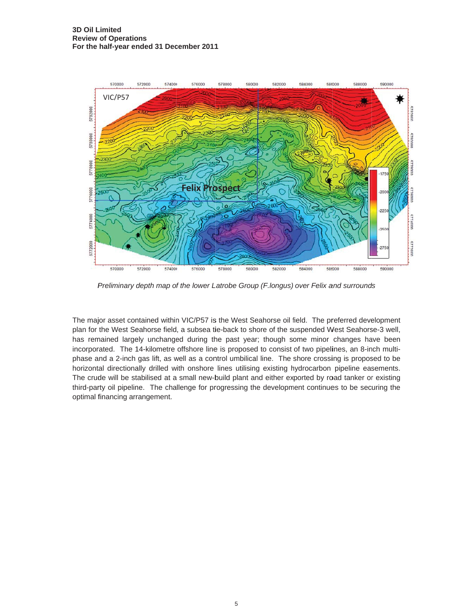

*Preliminary depth map of the lower Latrobe Group (F.longus) over Felix and surrounds* 

The major asset contained within VIC/P57 is the West Seahorse oil field. The preferred development plan for the West Seahorse field, a subsea tie-back to shore of the suspended West Seahorse-3 well, has remained largely unchanged during the past year; though some minor changes have been incorporated. The 14-kilometre offshore line is proposed to consist of two pipelines, an 8-inch multiphase and a 2-inch gas lift, as well as a control umbilical line. The shore crossing is proposed to be horizontal directionally drilled with onshore lines utilising existing hydrocarbon pipeline easements. The crude will be stabilised at a small new-build plant and either exported by road tanker or existing third-party oil pipeline. The challenge for progressing the development continues to be securing the optimal f financing arr rangement.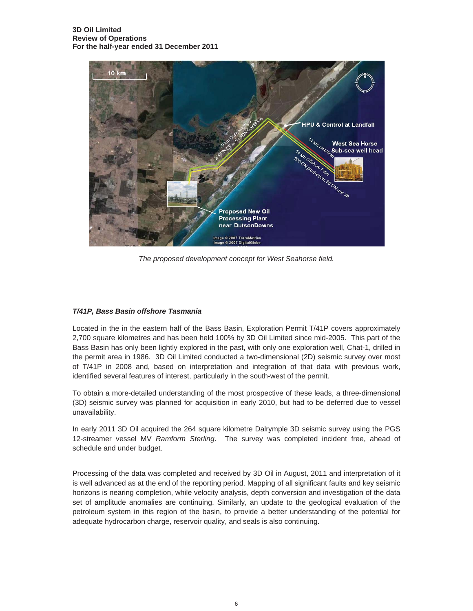

*The proposed development concept for West Seahorse field.*

# *T/41P, Bass Basin offshore Tasmania*

Located in the in the eastern half of the Bass Basin, Exploration Permit T/41P covers approximately 2,700 square kilometres and has been held 100% by 3D Oil Limited since mid-2005. This part of the Bass Basin has only been lightly explored in the past, with only one exploration well, Chat-1, drilled in the permit area in 1986. 3D Oil Limited conducted a two-dimensional (2D) seismic survey over most of T/41P in 2008 and, based on interpretation and integration of that data with previous work, identified several features of interest, particularly in the south-west of the permit.

To obtain a more-detailed understanding of the most prospective of these leads, a three-dimensional (3D) seismic survey was planned for acquisition in early 2010, but had to be deferred due to vessel unavailability.

In early 2011 3D Oil acquired the 264 square kilometre Dalrymple 3D seismic survey using the PGS 12-streamer vessel MV *Ramform Sterling*. The survey was completed incident free, ahead of schedule and under budget.

Processing of the data was completed and received by 3D Oil in August, 2011 and interpretation of it is well advanced as at the end of the reporting period. Mapping of all significant faults and key seismic horizons is nearing completion, while velocity analysis, depth conversion and investigation of the data set of amplitude anomalies are continuing. Similarly, an update to the geological evaluation of the petroleum system in this region of the basin, to provide a better understanding of the potential for adequate hydrocarbon charge, reservoir quality, and seals is also continuing.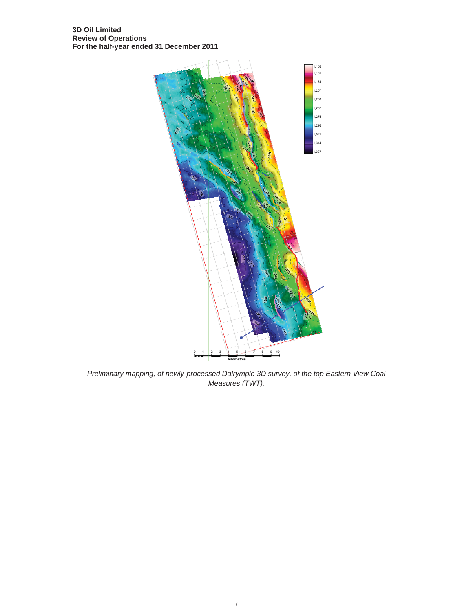

*Preliminary mapping, of newly-processed Dalrymple 3D survey, of the top Eastern View Coal Measures (TWT).*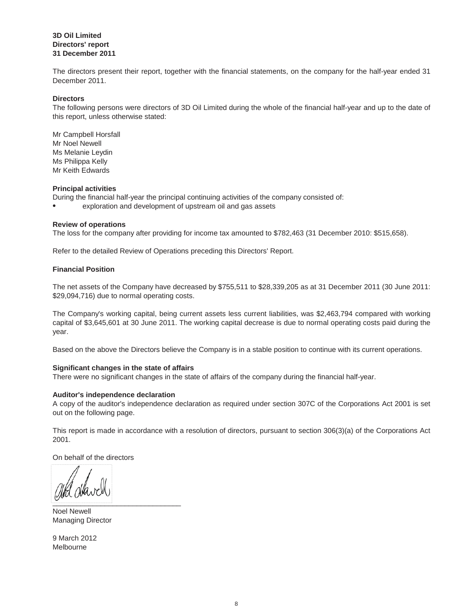### **3D Oil Limited Directors' report 31 December 2011**

The directors present their report, together with the financial statements, on the company for the half-year ended 31 December 2011.

### **Directors**

The following persons were directors of 3D Oil Limited during the whole of the financial half-year and up to the date of this report, unless otherwise stated:

Ms Melanie Leydin Ms Philippa Kelly Mr Keith Edwards Mr Campbell Horsfall Mr Noel Newell

### **Principal activities**

During the financial half-year the principal continuing activities of the company consisted of:

 $\bullet$ exploration and development of upstream oil and gas assets

### **Review of operations**

The loss for the company after providing for income tax amounted to \$782,463 (31 December 2010: \$515,658).

Refer to the detailed Review of Operations preceding this Directors' Report.

### **Financial Position**

The net assets of the Company have decreased by \$755,511 to \$28,339,205 as at 31 December 2011 (30 June 2011: \$29,094,716) due to normal operating costs.

The Company's working capital, being current assets less current liabilities, was \$2,463,794 compared with working capital of \$3,645,601 at 30 June 2011. The working capital decrease is due to normal operating costs paid during the year.

Based on the above the Directors believe the Company is in a stable position to continue with its current operations.

### **Significant changes in the state of affairs**

There were no significant changes in the state of affairs of the company during the financial half-year.

### **Auditor's independence declaration**

A copy of the auditor's independence declaration as required under section 307C of the Corporations Act 2001 is set out on the following page.

This report is made in accordance with a resolution of directors, pursuant to section 306(3)(a) of the Corporations Act 2001.

On behalf of the directors

\_\_\_\_\_\_\_\_\_\_\_\_\_\_\_\_\_\_\_\_\_\_\_\_\_\_\_\_\_\_\_\_

Managing Director Noel Newell

Melbourne 9 March 2012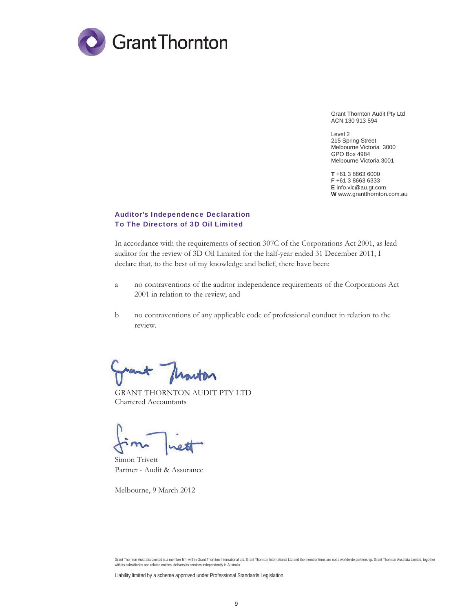

Grant Thornton Audit Pty Ltd ACN 130 913 594

Level 2 215 Spring Street Melbourne Victoria 3000 GPO Box 4984 Melbourne Victoria 3001

**T** +61 3 8663 6000 **F** +61 3 8663 6333 **E** info.vic@au.gt.com **W** www.grantthornton.com.au

### Auditor's Independence Declaration To The Directors of 3D Oil Limited

In accordance with the requirements of section 307C of the Corporations Act 2001, as lead auditor for the review of 3D Oil Limited for the half-year ended 31 December 2011, I declare that, to the best of my knowledge and belief, there have been:

- a no contraventions of the auditor independence requirements of the Corporations Act 2001 in relation to the review; and
- b no contraventions of any applicable code of professional conduct in relation to the review.

ant flowton

GRANT THORNTON AUDIT PTY LTD Chartered Accountants

Simon Trivett Partner - Audit & Assurance

Melbourne, 9 March 2012

Liability limited by a scheme approved under Professional Standards Legislation

Grant Thornton Australia Limited is a member firm within Grant Thornton International Ltd. Grant Thornton International Ltd and the member firms are not a worldwide partnership. Grant Thornton Australia Limited, together with its subsidiaries and related entities, delivers its services independently in Australia.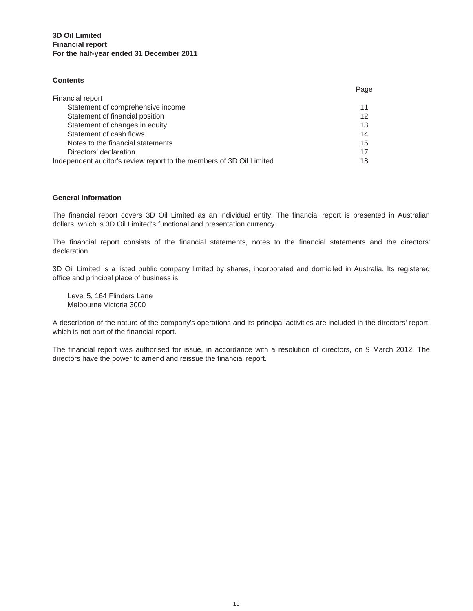## **3D Oil Limited For the half-year ended 31 December 2011 Financial report**

### **Contents**

|                                                                      | Page |
|----------------------------------------------------------------------|------|
| Financial report                                                     |      |
| Statement of comprehensive income                                    | 11   |
| Statement of financial position                                      | 12   |
| Statement of changes in equity                                       | 13   |
| Statement of cash flows                                              | 14   |
| Notes to the financial statements                                    | 15   |
| Directors' declaration                                               | 17   |
| Independent auditor's review report to the members of 3D Oil Limited | 18   |

### **General information**

The financial report covers 3D Oil Limited as an individual entity. The financial report is presented in Australian dollars, which is 3D Oil Limited's functional and presentation currency.

The financial report consists of the financial statements, notes to the financial statements and the directors' declaration.

3D Oil Limited is a listed public company limited by shares, incorporated and domiciled in Australia. Its registered office and principal place of business is:

Level 5, 164 Flinders Lane Melbourne Victoria 3000

A description of the nature of the company's operations and its principal activities are included in the directors' report, which is not part of the financial report.

The financial report was authorised for issue, in accordance with a resolution of directors, on 9 March 2012. The directors have the power to amend and reissue the financial report.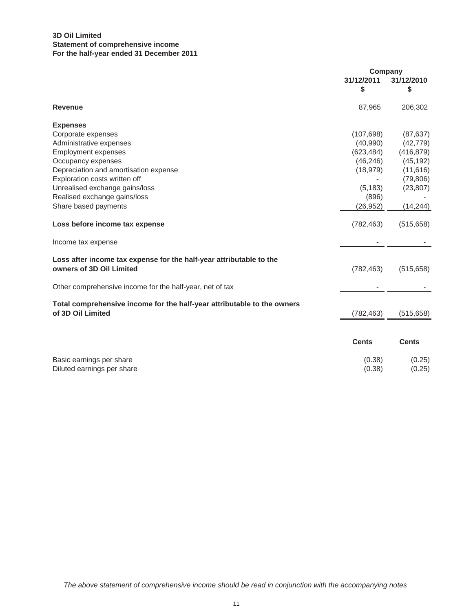## **3D Oil Limited For the half-year ended 31 December 2011 Statement of comprehensive income**

|                                                                                                 | Company          |                  |
|-------------------------------------------------------------------------------------------------|------------------|------------------|
|                                                                                                 | 31/12/2011       | 31/12/2010       |
|                                                                                                 | \$               | \$               |
| <b>Revenue</b>                                                                                  | 87,965           | 206,302          |
| <b>Expenses</b>                                                                                 |                  |                  |
| Corporate expenses                                                                              | (107, 698)       | (87, 637)        |
| Administrative expenses                                                                         | (40,990)         | (42, 779)        |
| <b>Employment expenses</b>                                                                      | (623, 484)       | (416, 879)       |
| Occupancy expenses                                                                              | (46, 246)        | (45, 192)        |
| Depreciation and amortisation expense                                                           | (18, 979)        | (11, 616)        |
| Exploration costs written off                                                                   |                  | (79, 806)        |
| Unrealised exchange gains/loss                                                                  | (5, 183)         | (23, 807)        |
| Realised exchange gains/loss                                                                    | (896)            |                  |
| Share based payments                                                                            | (26, 952)        | (14, 244)        |
| Loss before income tax expense                                                                  | (782, 463)       | (515, 658)       |
| Income tax expense                                                                              |                  |                  |
| Loss after income tax expense for the half-year attributable to the<br>owners of 3D Oil Limited | (782, 463)       | (515, 658)       |
| Other comprehensive income for the half-year, net of tax                                        |                  |                  |
| Total comprehensive income for the half-year attributable to the owners                         |                  |                  |
| of 3D Oil Limited                                                                               | (782,463)        | (515,658)        |
|                                                                                                 |                  |                  |
|                                                                                                 | <b>Cents</b>     | <b>Cents</b>     |
| Basic earnings per share<br>Diluted earnings per share                                          | (0.38)<br>(0.38) | (0.25)<br>(0.25) |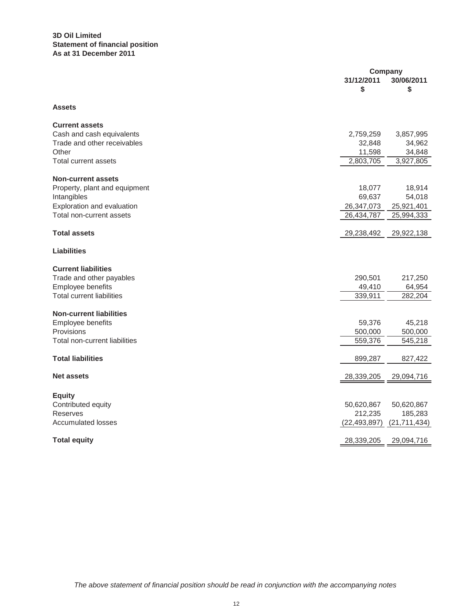## **3D Oil Limited Statement of financial position As at 31 December 2011**

|                                  | Company        |                |  |
|----------------------------------|----------------|----------------|--|
|                                  | 31/12/2011     | 30/06/2011     |  |
|                                  | \$             | \$             |  |
| <b>Assets</b>                    |                |                |  |
| <b>Current assets</b>            |                |                |  |
| Cash and cash equivalents        | 2,759,259      | 3,857,995      |  |
| Trade and other receivables      | 32,848         | 34,962         |  |
| Other                            | 11,598         | 34,848         |  |
| <b>Total current assets</b>      | 2,803,705      | 3,927,805      |  |
| <b>Non-current assets</b>        |                |                |  |
| Property, plant and equipment    | 18,077         | 18,914         |  |
| Intangibles                      | 69,637         | 54,018         |  |
| Exploration and evaluation       | 26,347,073     | 25,921,401     |  |
| Total non-current assets         | 26,434,787     | 25,994,333     |  |
| <b>Total assets</b>              | 29,238,492     | 29,922,138     |  |
| <b>Liabilities</b>               |                |                |  |
| <b>Current liabilities</b>       |                |                |  |
| Trade and other payables         | 290,501        | 217,250        |  |
| Employee benefits                | 49,410         | 64,954         |  |
| <b>Total current liabilities</b> | 339,911        | 282,204        |  |
| <b>Non-current liabilities</b>   |                |                |  |
| Employee benefits                | 59,376         | 45,218         |  |
| Provisions                       | 500,000        | 500,000        |  |
| Total non-current liabilities    | 559,376        | 545,218        |  |
| <b>Total liabilities</b>         | 899,287        | 827,422        |  |
| <b>Net assets</b>                | 28,339,205     | 29,094,716     |  |
|                                  |                |                |  |
| <b>Equity</b>                    |                |                |  |
| Contributed equity               | 50,620,867     | 50,620,867     |  |
| <b>Reserves</b>                  | 212,235        | 185,283        |  |
| <b>Accumulated losses</b>        | (22, 493, 897) | (21, 711, 434) |  |
| <b>Total equity</b>              | 28,339,205     | 29,094,716     |  |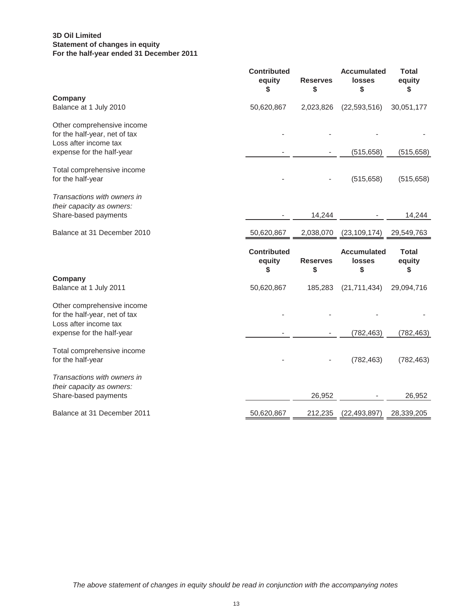## **3D Oil Limited For the half-year ended 31 December 2011 Statement of changes in equity**

|                                                                                                                   | <b>Contributed</b><br>equity<br>\$ | <b>Reserves</b><br>\$ | <b>Accumulated</b><br>losses<br>\$  | <b>Total</b><br>equity<br>\$ |
|-------------------------------------------------------------------------------------------------------------------|------------------------------------|-----------------------|-------------------------------------|------------------------------|
| Company<br>Balance at 1 July 2010                                                                                 | 50,620,867                         | 2,023,826             | (22, 593, 516)                      | 30,051,177                   |
| Other comprehensive income<br>for the half-year, net of tax<br>Loss after income tax<br>expense for the half-year |                                    |                       | (515, 658)                          | (515, 658)                   |
| Total comprehensive income<br>for the half-year                                                                   |                                    |                       | (515, 658)                          | (515, 658)                   |
| Transactions with owners in<br>their capacity as owners:<br>Share-based payments                                  |                                    | 14,244                |                                     | 14,244                       |
| Balance at 31 December 2010                                                                                       | 50,620,867                         | 2,038,070             | (23, 109, 174)                      | 29,549,763                   |
|                                                                                                                   |                                    |                       |                                     |                              |
|                                                                                                                   | <b>Contributed</b><br>equity       | <b>Reserves</b>       | <b>Accumulated</b><br><b>losses</b> | <b>Total</b><br>equity       |
| Company<br>Balance at 1 July 2011                                                                                 | S<br>50,620,867                    | \$<br>185,283         | \$<br>(21, 711, 434)                | \$<br>29,094,716             |
| Other comprehensive income<br>for the half-year, net of tax                                                       |                                    |                       |                                     |                              |
| Loss after income tax<br>expense for the half-year                                                                |                                    |                       | (782, 463)                          | (782, 463)                   |
| Total comprehensive income<br>for the half-year                                                                   |                                    |                       | (782, 463)                          | (782, 463)                   |
| Transactions with owners in<br>their capacity as owners:<br>Share-based payments                                  |                                    | 26,952                |                                     | 26,952                       |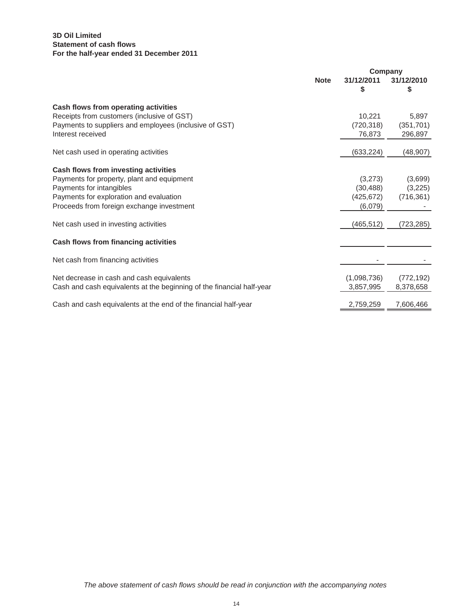## **3D Oil Limited For the half-year ended 31 December 2011 Statement of cash flows**

|                                                                       |             | Company          |                  |
|-----------------------------------------------------------------------|-------------|------------------|------------------|
|                                                                       | <b>Note</b> | 31/12/2011<br>\$ | 31/12/2010<br>\$ |
| Cash flows from operating activities                                  |             |                  |                  |
| Receipts from customers (inclusive of GST)                            |             | 10,221           | 5,897            |
| Payments to suppliers and employees (inclusive of GST)                |             | (720, 318)       | (351, 701)       |
| Interest received                                                     |             | 76,873           | 296,897          |
| Net cash used in operating activities                                 |             | (633, 224)       | (48, 907)        |
| Cash flows from investing activities                                  |             |                  |                  |
| Payments for property, plant and equipment                            |             | (3,273)          | (3,699)          |
| Payments for intangibles                                              |             | (30, 488)        | (3,225)          |
| Payments for exploration and evaluation                               |             | (425, 672)       | (716, 361)       |
| Proceeds from foreign exchange investment                             |             | (6,079)          |                  |
| Net cash used in investing activities                                 |             | (465, 512)       | (723, 285)       |
| Cash flows from financing activities                                  |             |                  |                  |
| Net cash from financing activities                                    |             |                  |                  |
| Net decrease in cash and cash equivalents                             |             | (1,098,736)      | (772, 192)       |
| Cash and cash equivalents at the beginning of the financial half-year |             | 3,857,995        | 8,378,658        |
| Cash and cash equivalents at the end of the financial half-year       |             | 2,759,259        | 7,606,466        |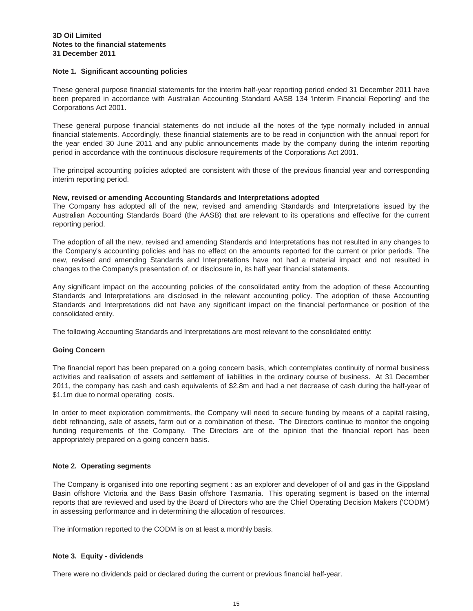### **Note 1. Significant accounting policies**

These general purpose financial statements for the interim half-year reporting period ended 31 December 2011 have been prepared in accordance with Australian Accounting Standard AASB 134 'Interim Financial Reporting' and the Corporations Act 2001.

These general purpose financial statements do not include all the notes of the type normally included in annual financial statements. Accordingly, these financial statements are to be read in conjunction with the annual report for the year ended 30 June 2011 and any public announcements made by the company during the interim reporting period in accordance with the continuous disclosure requirements of the Corporations Act 2001.

The principal accounting policies adopted are consistent with those of the previous financial year and corresponding interim reporting period.

### **New, revised or amending Accounting Standards and Interpretations adopted**

The Company has adopted all of the new, revised and amending Standards and Interpretations issued by the Australian Accounting Standards Board (the AASB) that are relevant to its operations and effective for the current reporting period.

The adoption of all the new, revised and amending Standards and Interpretations has not resulted in any changes to the Company's accounting policies and has no effect on the amounts reported for the current or prior periods. The new, revised and amending Standards and Interpretations have not had a material impact and not resulted in changes to the Company's presentation of, or disclosure in, its half year financial statements.

Any significant impact on the accounting policies of the consolidated entity from the adoption of these Accounting Standards and Interpretations are disclosed in the relevant accounting policy. The adoption of these Accounting Standards and Interpretations did not have any significant impact on the financial performance or position of the consolidated entity.

The following Accounting Standards and Interpretations are most relevant to the consolidated entity:

### **Going Concern**

The financial report has been prepared on a going concern basis, which contemplates continuity of normal business activities and realisation of assets and settlement of liabilities in the ordinary course of business. At 31 December 2011, the company has cash and cash equivalents of \$2.8m and had a net decrease of cash during the half-year of \$1.1m due to normal operating costs.

In order to meet exploration commitments, the Company will need to secure funding by means of a capital raising, debt refinancing, sale of assets, farm out or a combination of these. The Directors continue to monitor the ongoing funding requirements of the Company. The Directors are of the opinion that the financial report has been appropriately prepared on a going concern basis.

### **Note 2. Operating segments**

The Company is organised into one reporting segment : as an explorer and developer of oil and gas in the Gippsland Basin offshore Victoria and the Bass Basin offshore Tasmania. This operating segment is based on the internal reports that are reviewed and used by the Board of Directors who are the Chief Operating Decision Makers ('CODM') in assessing performance and in determining the allocation of resources.

The information reported to the CODM is on at least a monthly basis.

### **Note 3. Equity - dividends**

There were no dividends paid or declared during the current or previous financial half-year.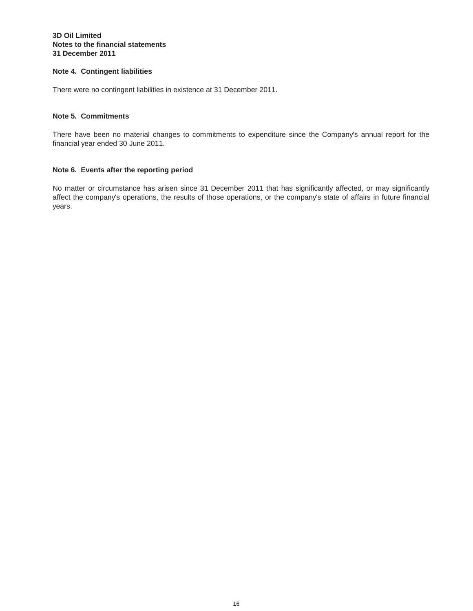### **Notes to the financial statements 3D Oil Limited 31 December 2011**

### **Note 4. Contingent liabilities**

There were no contingent liabilities in existence at 31 December 2011.

### **Note 5. Commitments**

There have been no material changes to commitments to expenditure since the Company's annual report for the financial year ended 30 June 2011.

### **Note 6. Events after the reporting period**

No matter or circumstance has arisen since 31 December 2011 that has significantly affected, or may significantly affect the company's operations, the results of those operations, or the company's state of affairs in future financial years.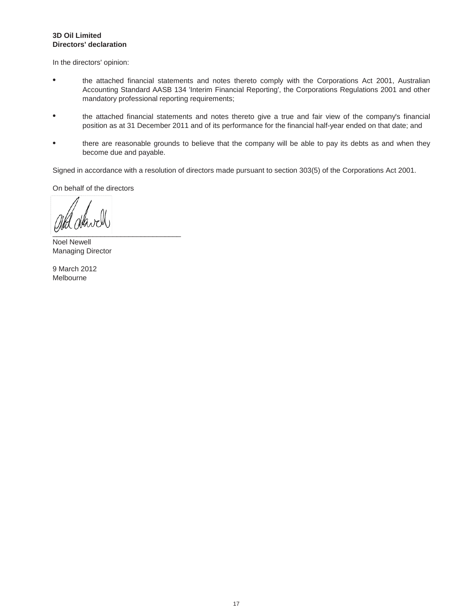### **Directors' declaration 3D Oil Limited**

In the directors' opinion:

- $\bullet$ the attached financial statements and notes thereto comply with the Corporations Act 2001, Australian Accounting Standard AASB 134 'Interim Financial Reporting', the Corporations Regulations 2001 and other mandatory professional reporting requirements;
- $\bullet$ the attached financial statements and notes thereto give a true and fair view of the company's financial position as at 31 December 2011 and of its performance for the financial half-year ended on that date; and
- $\bullet$ there are reasonable grounds to believe that the company will be able to pay its debts as and when they become due and payable.

Signed in accordance with a resolution of directors made pursuant to section 303(5) of the Corporations Act 2001.

On behalf of the directors

 $\overline{\mathbf{C}}$  . The contract of the contract of the contract of the contract of the contract of the contract of the contract of the contract of the contract of the contract of the contract of the contract of the contract of

Noel Newell Managing Director

Melbourne 9 March 2012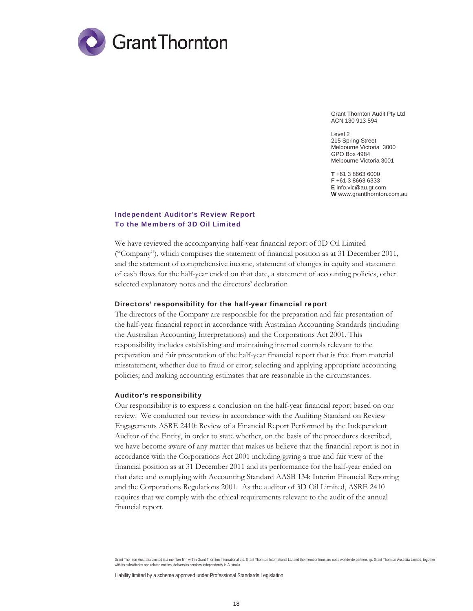

Grant Thornton Audit Pty Ltd ACN 130 913 594

Level 2 215 Spring Street Melbourne Victoria 3000 GPO Box 4984 Melbourne Victoria 3001

**T** +61 3 8663 6000 **F** +61 3 8663 6333 **E** info.vic@au.gt.com **W** www.grantthornton.com.au

### Independent Auditor's Review Report To the Members of 3D Oil Limited

We have reviewed the accompanying half-year financial report of 3D Oil Limited ("Company"), which comprises the statement of financial position as at 31 December 2011, and the statement of comprehensive income, statement of changes in equity and statement of cash flows for the half-year ended on that date, a statement of accounting policies, other selected explanatory notes and the directors' declaration

#### Directors' responsibility for the half-year financial report

The directors of the Company are responsible for the preparation and fair presentation of the half-year financial report in accordance with Australian Accounting Standards (including the Australian Accounting Interpretations) and the Corporations Act 2001. This responsibility includes establishing and maintaining internal controls relevant to the preparation and fair presentation of the half-year financial report that is free from material misstatement, whether due to fraud or error; selecting and applying appropriate accounting policies; and making accounting estimates that are reasonable in the circumstances.

#### Auditor's responsibility

Our responsibility is to express a conclusion on the half-year financial report based on our review. We conducted our review in accordance with the Auditing Standard on Review Engagements ASRE 2410: Review of a Financial Report Performed by the Independent Auditor of the Entity, in order to state whether, on the basis of the procedures described, we have become aware of any matter that makes us believe that the financial report is not in accordance with the Corporations Act 2001 including giving a true and fair view of the financial position as at 31 December 2011 and its performance for the half-year ended on that date; and complying with Accounting Standard AASB 134: Interim Financial Reporting and the Corporations Regulations 2001. As the auditor of 3D Oil Limited, ASRE 2410 requires that we comply with the ethical requirements relevant to the audit of the annual financial report.

Grant Thornton Australia Limited is a member firm within Grant Thornton International Ltd. Grant Thornton International Ltd and the member firms are not a worldwide partnership. Grant Thornton Australia Limited, together with its subsidiaries and related entities, delivers its services independently in Australia.

Liability limited by a scheme approved under Professional Standards Legislation